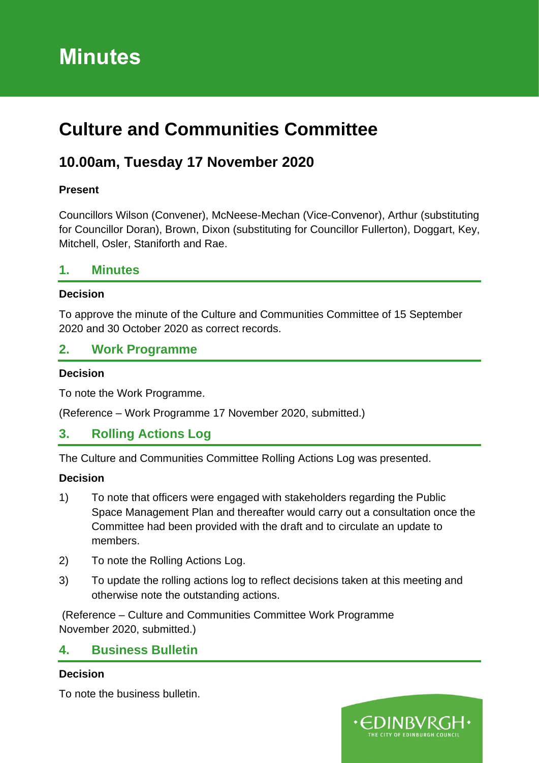# **Minutes**

# **Culture and Communities Committee**

# **10.00am, Tuesday 17 November 2020**

### **Present**

Councillors Wilson (Convener), McNeese-Mechan (Vice-Convenor), Arthur (substituting for Councillor Doran), Brown, Dixon (substituting for Councillor Fullerton), Doggart, Key, Mitchell, Osler, Staniforth and Rae.

### **1. Minutes**

### **Decision**

To approve the minute of the Culture and Communities Committee of 15 September 2020 and 30 October 2020 as correct records.

### **2. Work Programme**

### **Decision**

To note the Work Programme.

(Reference – Work Programme 17 November 2020, submitted.)

### **3. Rolling Actions Log**

The Culture and Communities Committee Rolling Actions Log was presented.

### **Decision**

- 1) To note that officers were engaged with stakeholders regarding the Public Space Management Plan and thereafter would carry out a consultation once the Committee had been provided with the draft and to circulate an update to members.
- 2) To note the Rolling Actions Log.
- 3) To update the rolling actions log to reflect decisions taken at this meeting and otherwise note the outstanding actions.

(Reference – Culture and Communities Committee Work Programme November 2020, submitted.)

### **4. Business Bulletin**

### **Decision**

To note the business bulletin.

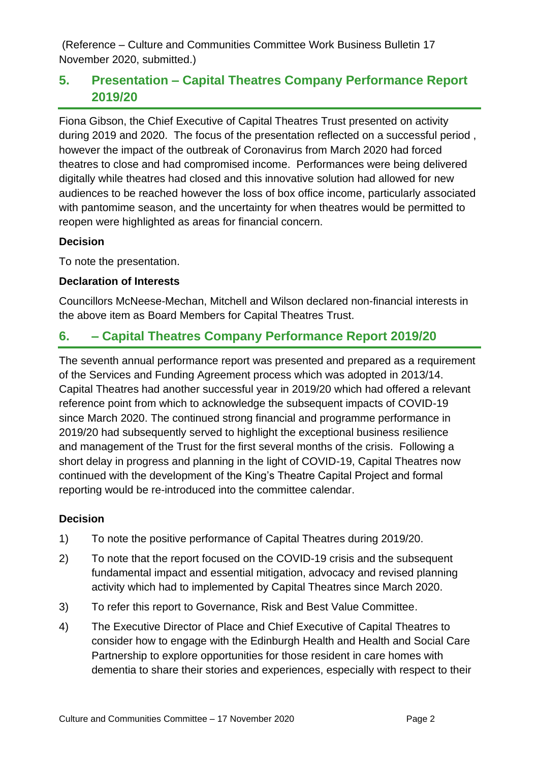(Reference – Culture and Communities Committee Work Business Bulletin 17 November 2020, submitted.)

## **5. Presentation – Capital Theatres Company Performance Report 2019/20**

Fiona Gibson, the Chief Executive of Capital Theatres Trust presented on activity during 2019 and 2020. The focus of the presentation reflected on a successful period , however the impact of the outbreak of Coronavirus from March 2020 had forced theatres to close and had compromised income. Performances were being delivered digitally while theatres had closed and this innovative solution had allowed for new audiences to be reached however the loss of box office income, particularly associated with pantomime season, and the uncertainty for when theatres would be permitted to reopen were highlighted as areas for financial concern.

### **Decision**

To note the presentation.

### **Declaration of Interests**

Councillors McNeese-Mechan, Mitchell and Wilson declared non-financial interests in the above item as Board Members for Capital Theatres Trust.

## **6. – Capital Theatres Company Performance Report 2019/20**

The seventh annual performance report was presented and prepared as a requirement of the Services and Funding Agreement process which was adopted in 2013/14. Capital Theatres had another successful year in 2019/20 which had offered a relevant reference point from which to acknowledge the subsequent impacts of COVID-19 since March 2020. The continued strong financial and programme performance in 2019/20 had subsequently served to highlight the exceptional business resilience and management of the Trust for the first several months of the crisis. Following a short delay in progress and planning in the light of COVID-19, Capital Theatres now continued with the development of the King's Theatre Capital Project and formal reporting would be re-introduced into the committee calendar.

### **Decision**

- 1) To note the positive performance of Capital Theatres during 2019/20.
- 2) To note that the report focused on the COVID-19 crisis and the subsequent fundamental impact and essential mitigation, advocacy and revised planning activity which had to implemented by Capital Theatres since March 2020.
- 3) To refer this report to Governance, Risk and Best Value Committee.
- 4) The Executive Director of Place and Chief Executive of Capital Theatres to consider how to engage with the Edinburgh Health and Health and Social Care Partnership to explore opportunities for those resident in care homes with dementia to share their stories and experiences, especially with respect to their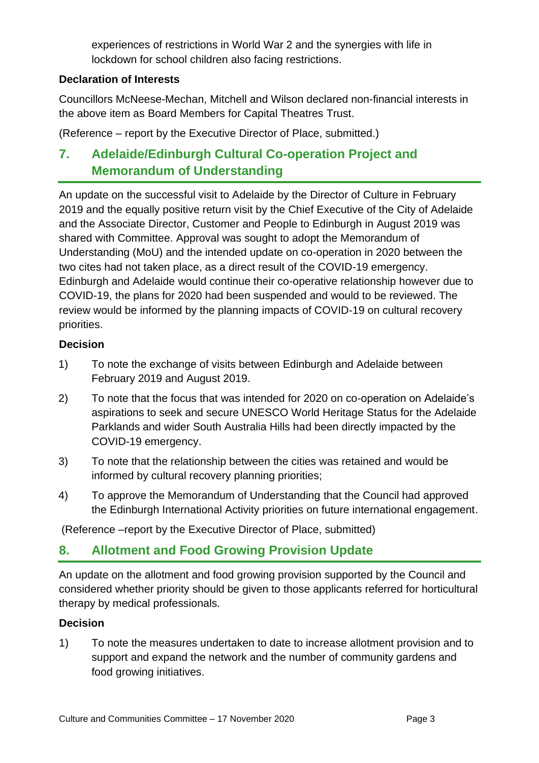experiences of restrictions in World War 2 and the synergies with life in lockdown for school children also facing restrictions.

### **Declaration of Interests**

Councillors McNeese-Mechan, Mitchell and Wilson declared non-financial interests in the above item as Board Members for Capital Theatres Trust.

(Reference – report by the Executive Director of Place, submitted.)

# **7. Adelaide/Edinburgh Cultural Co-operation Project and Memorandum of Understanding**

An update on the successful visit to Adelaide by the Director of Culture in February 2019 and the equally positive return visit by the Chief Executive of the City of Adelaide and the Associate Director, Customer and People to Edinburgh in August 2019 was shared with Committee. Approval was sought to adopt the Memorandum of Understanding (MoU) and the intended update on co-operation in 2020 between the two cites had not taken place, as a direct result of the COVID-19 emergency. Edinburgh and Adelaide would continue their co-operative relationship however due to COVID-19, the plans for 2020 had been suspended and would to be reviewed. The review would be informed by the planning impacts of COVID-19 on cultural recovery priorities.

### **Decision**

- 1) To note the exchange of visits between Edinburgh and Adelaide between February 2019 and August 2019.
- 2) To note that the focus that was intended for 2020 on co-operation on Adelaide's aspirations to seek and secure UNESCO World Heritage Status for the Adelaide Parklands and wider South Australia Hills had been directly impacted by the COVID-19 emergency.
- 3) To note that the relationship between the cities was retained and would be informed by cultural recovery planning priorities;
- 4) To approve the Memorandum of Understanding that the Council had approved the Edinburgh International Activity priorities on future international engagement.

(Reference –report by the Executive Director of Place, submitted)

## **8. Allotment and Food Growing Provision Update**

An update on the allotment and food growing provision supported by the Council and considered whether priority should be given to those applicants referred for horticultural therapy by medical professionals.

### **Decision**

1) To note the measures undertaken to date to increase allotment provision and to support and expand the network and the number of community gardens and food growing initiatives.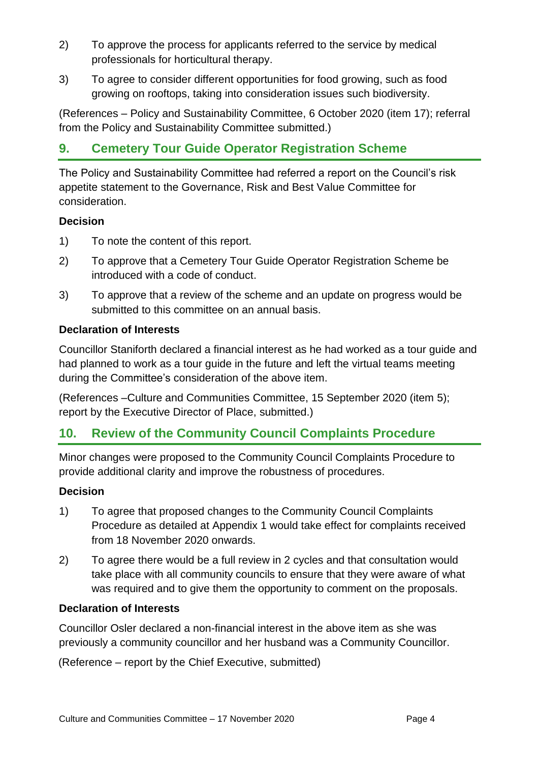- 2) To approve the process for applicants referred to the service by medical professionals for horticultural therapy.
- 3) To agree to consider different opportunities for food growing, such as food growing on rooftops, taking into consideration issues such biodiversity.

(References – Policy and Sustainability Committee, 6 October 2020 (item 17); referral from the Policy and Sustainability Committee submitted.)

# **9. Cemetery Tour Guide Operator Registration Scheme**

The Policy and Sustainability Committee had referred a report on the Council's risk appetite statement to the Governance, Risk and Best Value Committee for consideration.

### **Decision**

- 1) To note the content of this report.
- 2) To approve that a Cemetery Tour Guide Operator Registration Scheme be introduced with a code of conduct.
- 3) To approve that a review of the scheme and an update on progress would be submitted to this committee on an annual basis.

### **Declaration of Interests**

Councillor Staniforth declared a financial interest as he had worked as a tour guide and had planned to work as a tour guide in the future and left the virtual teams meeting during the Committee's consideration of the above item.

(References –Culture and Communities Committee, 15 September 2020 (item 5); report by the Executive Director of Place, submitted.)

## **10. Review of the Community Council Complaints Procedure**

Minor changes were proposed to the Community Council Complaints Procedure to provide additional clarity and improve the robustness of procedures.

### **Decision**

- 1) To agree that proposed changes to the Community Council Complaints Procedure as detailed at Appendix 1 would take effect for complaints received from 18 November 2020 onwards.
- 2) To agree there would be a full review in 2 cycles and that consultation would take place with all community councils to ensure that they were aware of what was required and to give them the opportunity to comment on the proposals.

### **Declaration of Interests**

Councillor Osler declared a non-financial interest in the above item as she was previously a community councillor and her husband was a Community Councillor.

(Reference – report by the Chief Executive, submitted)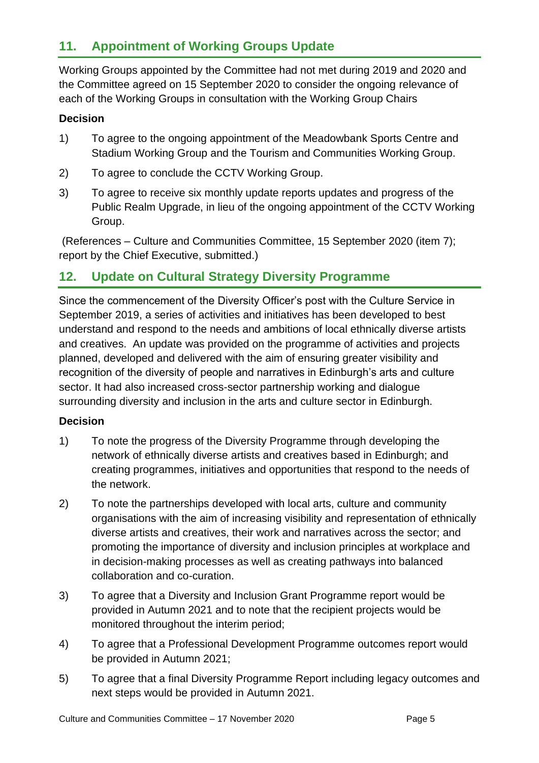# **11. Appointment of Working Groups Update**

Working Groups appointed by the Committee had not met during 2019 and 2020 and the Committee agreed on 15 September 2020 to consider the ongoing relevance of each of the Working Groups in consultation with the Working Group Chairs

### **Decision**

- 1) To agree to the ongoing appointment of the Meadowbank Sports Centre and Stadium Working Group and the Tourism and Communities Working Group.
- 2) To agree to conclude the CCTV Working Group.
- 3) To agree to receive six monthly update reports updates and progress of the Public Realm Upgrade, in lieu of the ongoing appointment of the CCTV Working Group.

(References – Culture and Communities Committee, 15 September 2020 (item 7); report by the Chief Executive, submitted.)

### **12. Update on Cultural Strategy Diversity Programme**

Since the commencement of the Diversity Officer's post with the Culture Service in September 2019, a series of activities and initiatives has been developed to best understand and respond to the needs and ambitions of local ethnically diverse artists and creatives. An update was provided on the programme of activities and projects planned, developed and delivered with the aim of ensuring greater visibility and recognition of the diversity of people and narratives in Edinburgh's arts and culture sector. It had also increased cross-sector partnership working and dialogue surrounding diversity and inclusion in the arts and culture sector in Edinburgh.

### **Decision**

- 1) To note the progress of the Diversity Programme through developing the network of ethnically diverse artists and creatives based in Edinburgh; and creating programmes, initiatives and opportunities that respond to the needs of the network.
- 2) To note the partnerships developed with local arts, culture and community organisations with the aim of increasing visibility and representation of ethnically diverse artists and creatives, their work and narratives across the sector; and promoting the importance of diversity and inclusion principles at workplace and in decision-making processes as well as creating pathways into balanced collaboration and co-curation.
- 3) To agree that a Diversity and Inclusion Grant Programme report would be provided in Autumn 2021 and to note that the recipient projects would be monitored throughout the interim period;
- 4) To agree that a Professional Development Programme outcomes report would be provided in Autumn 2021;
- 5) To agree that a final Diversity Programme Report including legacy outcomes and next steps would be provided in Autumn 2021.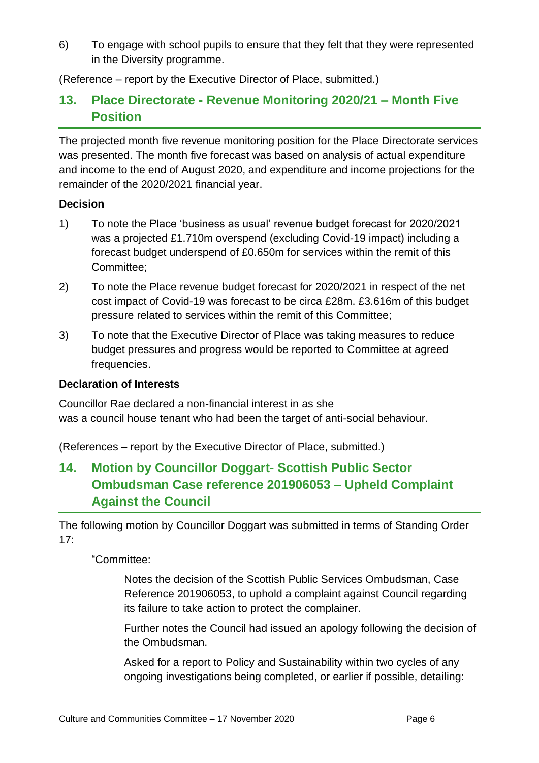6) To engage with school pupils to ensure that they felt that they were represented in the Diversity programme.

(Reference – report by the Executive Director of Place, submitted.)

### **13. Place Directorate - Revenue Monitoring 2020/21 – Month Five Position**

The projected month five revenue monitoring position for the Place Directorate services was presented. The month five forecast was based on analysis of actual expenditure and income to the end of August 2020, and expenditure and income projections for the remainder of the 2020/2021 financial year.

### **Decision**

- 1) To note the Place 'business as usual' revenue budget forecast for 2020/2021 was a projected £1.710m overspend (excluding Covid-19 impact) including a forecast budget underspend of £0.650m for services within the remit of this Committee;
- 2) To note the Place revenue budget forecast for 2020/2021 in respect of the net cost impact of Covid-19 was forecast to be circa £28m. £3.616m of this budget pressure related to services within the remit of this Committee;
- 3) To note that the Executive Director of Place was taking measures to reduce budget pressures and progress would be reported to Committee at agreed frequencies.

### **Declaration of Interests**

Councillor Rae declared a non-financial interest in as she was a council house tenant who had been the target of anti-social behaviour.

(References – report by the Executive Director of Place, submitted.)

# **14. Motion by Councillor Doggart- Scottish Public Sector Ombudsman Case reference 201906053 – Upheld Complaint Against the Council**

The following motion by Councillor Doggart was submitted in terms of Standing Order 17:

"Committee:

Notes the decision of the Scottish Public Services Ombudsman, Case Reference 201906053, to uphold a complaint against Council regarding its failure to take action to protect the complainer.

Further notes the Council had issued an apology following the decision of the Ombudsman.

Asked for a report to Policy and Sustainability within two cycles of any ongoing investigations being completed, or earlier if possible, detailing: